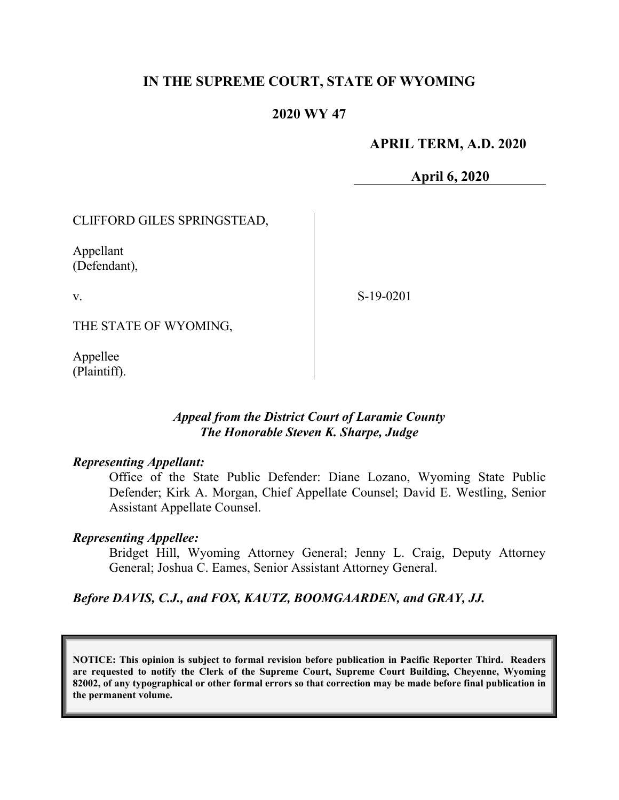## **IN THE SUPREME COURT, STATE OF WYOMING**

### **2020 WY 47**

### **APRIL TERM, A.D. 2020**

**April 6, 2020**

CLIFFORD GILES SPRINGSTEAD,

Appellant (Defendant),

v.

S-19-0201

THE STATE OF WYOMING,

Appellee (Plaintiff).

### *Appeal from the District Court of Laramie County The Honorable Steven K. Sharpe, Judge*

#### *Representing Appellant:*

Office of the State Public Defender: Diane Lozano, Wyoming State Public Defender; Kirk A. Morgan, Chief Appellate Counsel; David E. Westling, Senior Assistant Appellate Counsel.

#### *Representing Appellee:*

Bridget Hill, Wyoming Attorney General; Jenny L. Craig, Deputy Attorney General; Joshua C. Eames, Senior Assistant Attorney General.

#### *Before DAVIS, C.J., and FOX, KAUTZ, BOOMGAARDEN, and GRAY, JJ.*

**NOTICE: This opinion is subject to formal revision before publication in Pacific Reporter Third. Readers are requested to notify the Clerk of the Supreme Court, Supreme Court Building, Cheyenne, Wyoming 82002, of any typographical or other formal errors so that correction may be made before final publication in the permanent volume.**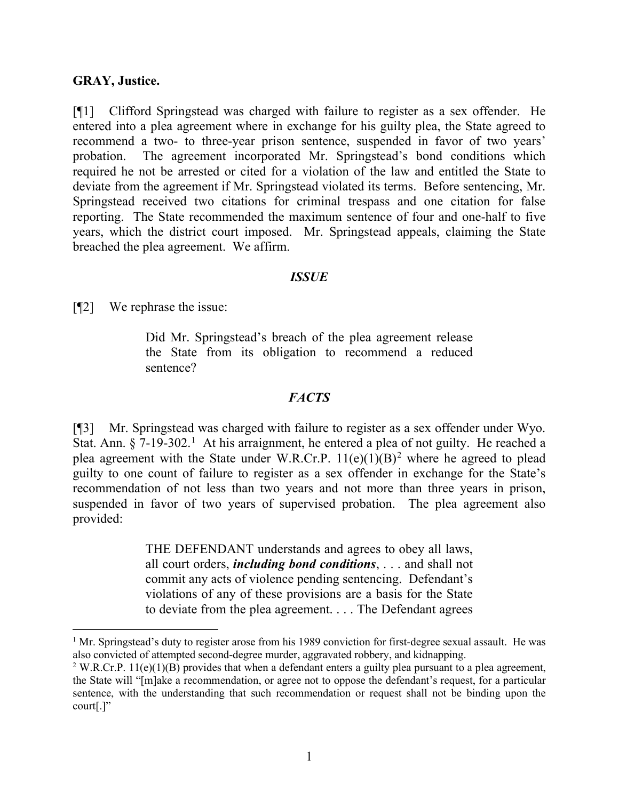### **GRAY, Justice.**

[¶1] Clifford Springstead was charged with failure to register as a sex offender. He entered into a plea agreement where in exchange for his guilty plea, the State agreed to recommend a two- to three-year prison sentence, suspended in favor of two years' probation. The agreement incorporated Mr. Springstead's bond conditions which required he not be arrested or cited for a violation of the law and entitled the State to deviate from the agreement if Mr. Springstead violated its terms. Before sentencing, Mr. Springstead received two citations for criminal trespass and one citation for false reporting. The State recommended the maximum sentence of four and one-half to five years, which the district court imposed. Mr. Springstead appeals, claiming the State breached the plea agreement. We affirm.

#### *ISSUE*

[¶2] We rephrase the issue:

Did Mr. Springstead's breach of the plea agreement release the State from its obligation to recommend a reduced sentence?

### *FACTS*

[¶3] Mr. Springstead was charged with failure to register as a sex offender under Wyo. Stat. Ann.  $\S 7$ -[1](#page-1-0)9-302.<sup>1</sup> At his arraignment, he entered a plea of not guilty. He reached a plea agreement with the State under W.R.Cr.P.  $11(e)(1)(B)^2$  $11(e)(1)(B)^2$  where he agreed to plead guilty to one count of failure to register as a sex offender in exchange for the State's recommendation of not less than two years and not more than three years in prison, suspended in favor of two years of supervised probation. The plea agreement also provided:

> THE DEFENDANT understands and agrees to obey all laws, all court orders, *including bond conditions*, . . . and shall not commit any acts of violence pending sentencing. Defendant's violations of any of these provisions are a basis for the State to deviate from the plea agreement. . . . The Defendant agrees

<span id="page-1-0"></span> $1$  Mr. Springstead's duty to register arose from his 1989 conviction for first-degree sexual assault. He was also convicted of attempted second-degree murder, aggravated robbery, and kidnapping.

<span id="page-1-1"></span><sup>&</sup>lt;sup>2</sup> W.R.Cr.P. 11(e)(1)(B) provides that when a defendant enters a guilty plea pursuant to a plea agreement, the State will "[m]ake a recommendation, or agree not to oppose the defendant's request, for a particular sentence, with the understanding that such recommendation or request shall not be binding upon the court[.]"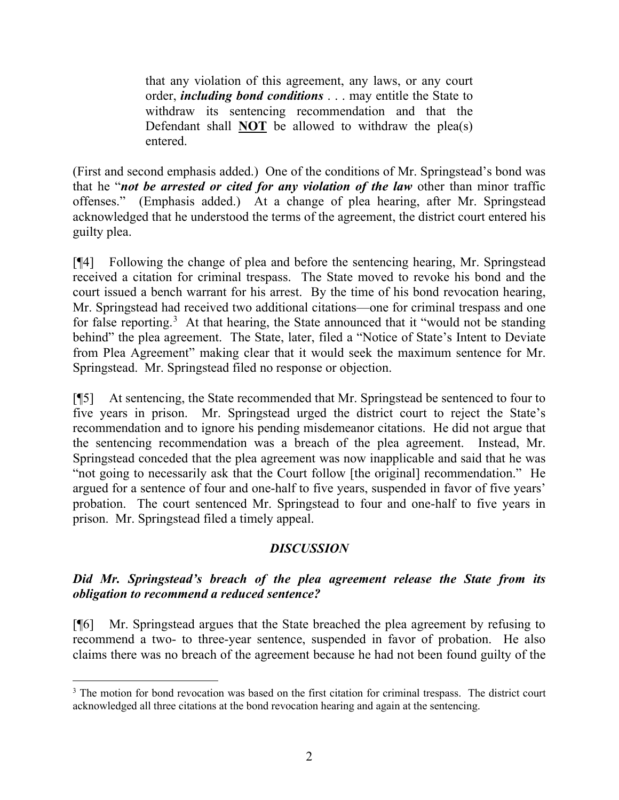that any violation of this agreement, any laws, or any court order, *including bond conditions* . . . may entitle the State to withdraw its sentencing recommendation and that the Defendant shall **NOT** be allowed to withdraw the plea(s) entered.

(First and second emphasis added.) One of the conditions of Mr. Springstead's bond was that he "*not be arrested or cited for any violation of the law* other than minor traffic offenses." (Emphasis added.) At a change of plea hearing, after Mr. Springstead acknowledged that he understood the terms of the agreement, the district court entered his guilty plea.

[¶4] Following the change of plea and before the sentencing hearing, Mr. Springstead received a citation for criminal trespass. The State moved to revoke his bond and the court issued a bench warrant for his arrest. By the time of his bond revocation hearing, Mr. Springstead had received two additional citations—one for criminal trespass and one for false reporting.<sup>[3](#page-2-0)</sup> At that hearing, the State announced that it "would not be standing behind" the plea agreement. The State, later, filed a "Notice of State's Intent to Deviate from Plea Agreement" making clear that it would seek the maximum sentence for Mr. Springstead. Mr. Springstead filed no response or objection.

[¶5] At sentencing, the State recommended that Mr. Springstead be sentenced to four to five years in prison. Mr. Springstead urged the district court to reject the State's recommendation and to ignore his pending misdemeanor citations. He did not argue that the sentencing recommendation was a breach of the plea agreement. Instead, Mr. Springstead conceded that the plea agreement was now inapplicable and said that he was "not going to necessarily ask that the Court follow [the original] recommendation." He argued for a sentence of four and one-half to five years, suspended in favor of five years' probation. The court sentenced Mr. Springstead to four and one-half to five years in prison. Mr. Springstead filed a timely appeal.

## *DISCUSSION*

# *Did Mr. Springstead's breach of the plea agreement release the State from its obligation to recommend a reduced sentence?*

[¶6] Mr. Springstead argues that the State breached the plea agreement by refusing to recommend a two- to three-year sentence, suspended in favor of probation. He also claims there was no breach of the agreement because he had not been found guilty of the

<span id="page-2-0"></span><sup>&</sup>lt;sup>3</sup> The motion for bond revocation was based on the first citation for criminal trespass. The district court acknowledged all three citations at the bond revocation hearing and again at the sentencing.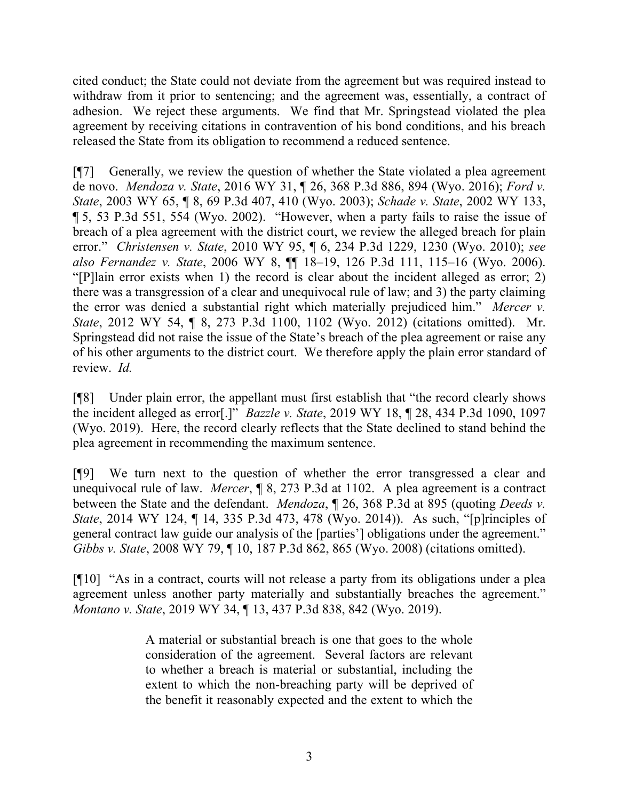cited conduct; the State could not deviate from the agreement but was required instead to withdraw from it prior to sentencing; and the agreement was, essentially, a contract of adhesion. We reject these arguments. We find that Mr. Springstead violated the plea agreement by receiving citations in contravention of his bond conditions, and his breach released the State from its obligation to recommend a reduced sentence.

[¶7] Generally, we review the question of whether the State violated a plea agreement de novo. *Mendoza v. State*, 2016 WY 31, ¶ 26, 368 P.3d 886, 894 (Wyo. 2016); *Ford v. State*, 2003 WY 65, ¶ 8, 69 P.3d 407, 410 (Wyo. 2003); *Schade v. State*, 2002 WY 133, ¶ 5, 53 P.3d 551, 554 (Wyo. 2002). "However, when a party fails to raise the issue of breach of a plea agreement with the district court, we review the alleged breach for plain error." *Christensen v. State*, 2010 WY 95, ¶ 6, 234 P.3d 1229, 1230 (Wyo. 2010); *see also Fernandez v. State*, 2006 WY 8, ¶¶ 18–19, 126 P.3d 111, 115–16 (Wyo. 2006). "[P]lain error exists when 1) the record is clear about the incident alleged as error; 2) there was a transgression of a clear and unequivocal rule of law; and 3) the party claiming the error was denied a substantial right which materially prejudiced him." *Mercer v. State*, 2012 WY 54, ¶ 8, 273 P.3d 1100, 1102 (Wyo. 2012) (citations omitted). Mr. Springstead did not raise the issue of the State's breach of the plea agreement or raise any of his other arguments to the district court. We therefore apply the plain error standard of review. *Id.*

[¶8] Under plain error, the appellant must first establish that "the record clearly shows the incident alleged as error[.]" *Bazzle v. State*, 2019 WY 18, ¶ 28, 434 P.3d 1090, 1097 (Wyo. 2019). Here, the record clearly reflects that the State declined to stand behind the plea agreement in recommending the maximum sentence.

[¶9] We turn next to the question of whether the error transgressed a clear and unequivocal rule of law. *Mercer*, ¶ 8, 273 P.3d at 1102. A plea agreement is a contract between the State and the defendant. *Mendoza*, ¶ 26, 368 P.3d at 895 (quoting *Deeds v. State*, 2014 WY 124, ¶ 14, 335 P.3d 473, 478 (Wyo. 2014)). As such, "[p]rinciples of general contract law guide our analysis of the [parties'] obligations under the agreement." *Gibbs v. State*, 2008 WY 79, ¶ 10, 187 P.3d 862, 865 (Wyo. 2008) (citations omitted).

[¶10] "As in a contract, courts will not release a party from its obligations under a plea agreement unless another party materially and substantially breaches the agreement." *Montano v. State*, 2019 WY 34, ¶ 13, 437 P.3d 838, 842 (Wyo. 2019).

> A material or substantial breach is one that goes to the whole consideration of the agreement. Several factors are relevant to whether a breach is material or substantial, including the extent to which the non-breaching party will be deprived of the benefit it reasonably expected and the extent to which the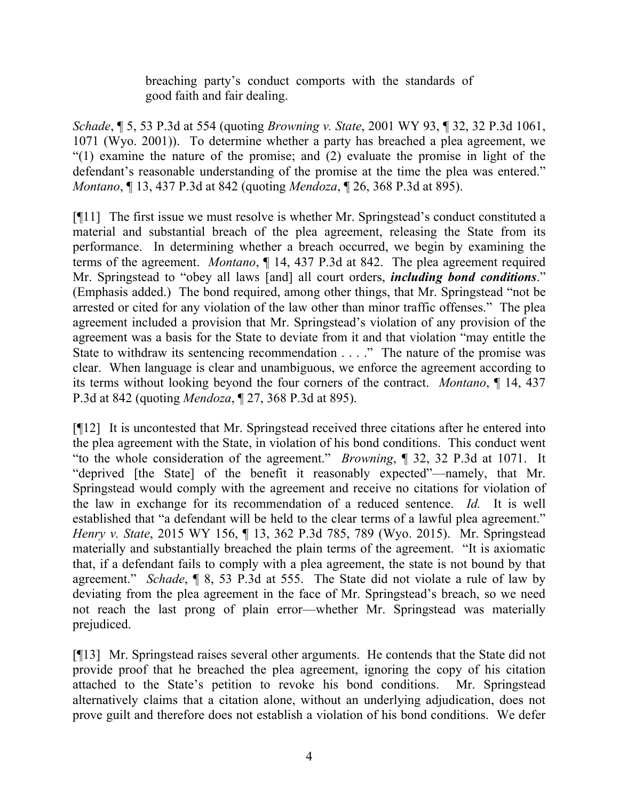breaching party's conduct comports with the standards of good faith and fair dealing.

*Schade*, ¶ 5, 53 P.3d at 554 (quoting *Browning v. State*, 2001 WY 93, ¶ 32, 32 P.3d 1061, 1071 (Wyo. 2001)). To determine whether a party has breached a plea agreement, we "(1) examine the nature of the promise; and (2) evaluate the promise in light of the defendant's reasonable understanding of the promise at the time the plea was entered." *Montano*, ¶ 13, 437 P.3d at 842 (quoting *Mendoza*, ¶ 26, 368 P.3d at 895).

[¶11] The first issue we must resolve is whether Mr. Springstead's conduct constituted a material and substantial breach of the plea agreement, releasing the State from its performance. In determining whether a breach occurred, we begin by examining the terms of the agreement. *Montano*, ¶ 14, 437 P.3d at 842. The plea agreement required Mr. Springstead to "obey all laws [and] all court orders, *including bond conditions*." (Emphasis added.) The bond required, among other things, that Mr. Springstead "not be arrested or cited for any violation of the law other than minor traffic offenses." The plea agreement included a provision that Mr. Springstead's violation of any provision of the agreement was a basis for the State to deviate from it and that violation "may entitle the State to withdraw its sentencing recommendation . . . ." The nature of the promise was clear. When language is clear and unambiguous, we enforce the agreement according to its terms without looking beyond the four corners of the contract. *Montano*, ¶ 14, 437 P.3d at 842 (quoting *Mendoza*, ¶ 27, 368 P.3d at 895).

[¶12] It is uncontested that Mr. Springstead received three citations after he entered into the plea agreement with the State, in violation of his bond conditions. This conduct went "to the whole consideration of the agreement." *Browning*, ¶ 32, 32 P.3d at 1071. It "deprived [the State] of the benefit it reasonably expected"—namely, that Mr. Springstead would comply with the agreement and receive no citations for violation of the law in exchange for its recommendation of a reduced sentence. *Id.* It is well established that "a defendant will be held to the clear terms of a lawful plea agreement." *Henry v. State*, 2015 WY 156, ¶ 13, 362 P.3d 785, 789 (Wyo. 2015). Mr. Springstead materially and substantially breached the plain terms of the agreement. "It is axiomatic that, if a defendant fails to comply with a plea agreement, the state is not bound by that agreement." *Schade*, ¶ 8, 53 P.3d at 555. The State did not violate a rule of law by deviating from the plea agreement in the face of Mr. Springstead's breach, so we need not reach the last prong of plain error—whether Mr. Springstead was materially prejudiced.

[¶13] Mr. Springstead raises several other arguments. He contends that the State did not provide proof that he breached the plea agreement, ignoring the copy of his citation attached to the State's petition to revoke his bond conditions. Mr. Springstead alternatively claims that a citation alone, without an underlying adjudication, does not prove guilt and therefore does not establish a violation of his bond conditions. We defer